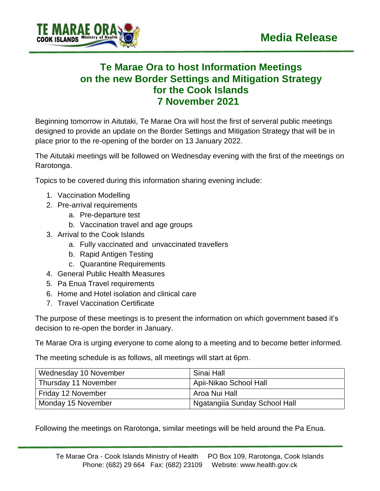

## **Te Marae Ora to host Information Meetings on the new Border Settings and Mitigation Strategy for the Cook Islands 7 November 2021**

Beginning tomorrow in Aitutaki, Te Marae Ora will host the first of serveral public meetings designed to provide an update on the Border Settings and Mitigation Strategy that will be in place prior to the re-opening of the border on 13 January 2022.

The Aitutaki meetings will be followed on Wednesday evening with the first of the meetings on Rarotonga.

Topics to be covered during this information sharing evening include:

- 1. Vaccination Modelling
- 2. Pre-arrival requirements
	- a. Pre-departure test
	- b. Vaccination travel and age groups
- 3. Arrival to the Cook Islands
	- a. Fully vaccinated and unvaccinated travellers
	- b. Rapid Antigen Testing
	- c. Quarantine Requirements
- 4. General Public Health Measures
- 5. Pa Enua Travel requirements
- 6. Home and Hotel isolation and clinical care
- 7. Travel Vaccination Certificate

The purpose of these meetings is to present the information on which government based it's decision to re-open the border in January.

Te Marae Ora is urging everyone to come along to a meeting and to become better informed.

The meeting schedule is as follows, all meetings will start at 6pm.

| Wednesday 10 November | Sinai Hall                                 |
|-----------------------|--------------------------------------------|
| Thursday 11 November  | Apii-Nikao School Hall                     |
| Friday 12 November    | Aroa Nui Hall                              |
| Monday 15 November    | <sup>1</sup> Ngatangiia Sunday School Hall |

Following the meetings on Rarotonga, similar meetings will be held around the Pa Enua.